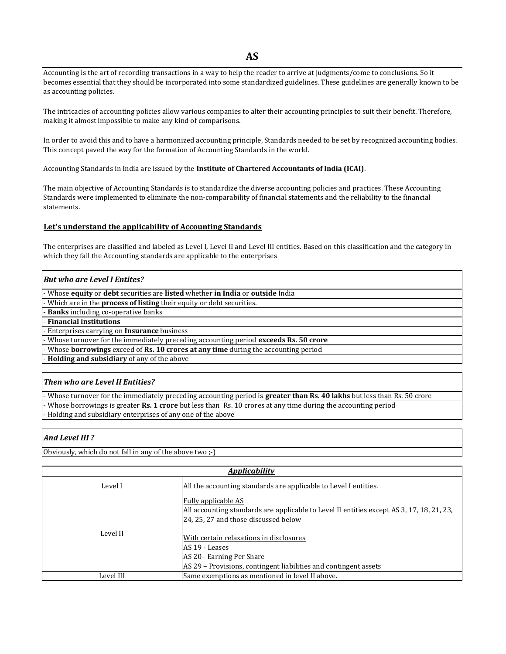Accounting is the art of recording transactions in a way to help the reader to arrive at judgments/come to conclusions. So it becomes essential that they should be incorporated into some standardized guidelines. These guidelines are generally known to be as accounting policies.

The intricacies of accounting policies allow various companies to alter their accounting principles to suit their benefit. Therefore, making it almost impossible to make any kind of comparisons.

In order to avoid this and to have a harmonized accounting principle, Standards needed to be set by recognized accounting bodies. This concept paved the way for the formation of Accounting Standards in the world.

Accounting Standards in India are issued by the **Institute of Chartered Accountants of India (ICAI)**.

The main objective of Accounting Standards is to standardize the diverse accounting policies and practices. These Accounting Standards were implemented to eliminate the non-comparability of financial statements and the reliability to the financial statements.

### **Let's understand the applicability of Accounting Standards**

The enterprises are classified and labeled as Level I, Level II and Level III entities. Based on this classification and the category in which they fall the Accounting standards are applicable to the enterprises

### *But who are Level I Entites?*

- Whose **equity** or **debt** securities are **listed** whether **in India** or **outside** India

- Which are in the **process of listing** their equity or debt securities.

- **Banks** including co-operative banks

- **Financial institutions**

- Enterprises carrying on **Insurance** business

- Whose turnover for the immediately preceding accounting period **exceeds Rs. 50 crore**

- Whose **borrowings** exceed of **Rs. 10 crores at any time** during the accounting period

- **Holding and subsidiary** of any of the above

### *Then who are Level II Entities?*

- Whose turnover for the immediately preceding accounting period is **greater than Rs. 40 lakhs** but less than Rs. 50 crore - Whose borrowings is greater **Rs. 1 crore** but less than Rs. 10 crores at any time during the accounting period - Holding and subsidiary enterprises of any one of the above

# *And Level III ?*

Obviously, which do not fall in any of the above two ;-)

| <b>Applicability</b> |                                                                                                                                                                                                                                                                                                                               |  |
|----------------------|-------------------------------------------------------------------------------------------------------------------------------------------------------------------------------------------------------------------------------------------------------------------------------------------------------------------------------|--|
| Level I              | All the accounting standards are applicable to Level I entities.                                                                                                                                                                                                                                                              |  |
| Level II             | <b>Fully applicable AS</b><br>All accounting standards are applicable to Level II entities except AS 3, 17, 18, 21, 23,<br>24, 25, 27 and those discussed below<br>With certain relaxations in disclosures<br>AS 19 - Leases<br>AS 20 - Earning Per Share<br>AS 29 – Provisions, contingent liabilities and contingent assets |  |
| Level III            | Same exemptions as mentioned in level II above.                                                                                                                                                                                                                                                                               |  |